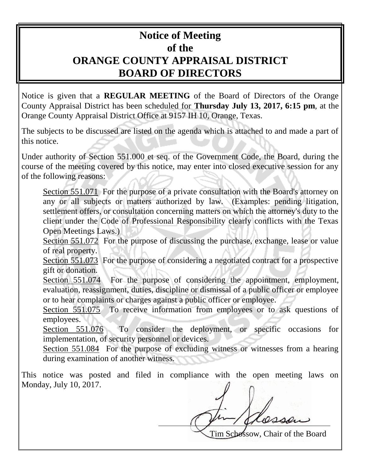## **Notice of Meeting of the ORANGE COUNTY APPRAISAL DISTRICT BOARD OF DIRECTORS**

Notice is given that a **REGULAR MEETING** of the Board of Directors of the Orange County Appraisal District has been scheduled for **Thursday July 13, 2017, 6:15 pm**, at the Orange County Appraisal District Office at 9157 IH 10, Orange, Texas.

The subjects to be discussed are listed on the agenda which is attached to and made a part of this notice.

Under authority of Section 551.000 et seq. of the Government Code, the Board, during the course of the meeting covered by this notice, may enter into closed executive session for any of the following reasons:

Section 551.071 For the purpose of a private consultation with the Board's attorney on any or all subjects or matters authorized by law. (Examples: pending litigation, settlement offers, or consultation concerning matters on which the attorney's duty to the client under the Code of Professional Responsibility clearly conflicts with the Texas Open Meetings Laws.)

Section 551.072 For the purpose of discussing the purchase, exchange, lease or value of real property.

Section 551.073 For the purpose of considering a negotiated contract for a prospective gift or donation.

Section 551.074 For the purpose of considering the appointment, employment, evaluation, reassignment, duties, discipline or dismissal of a public officer or employee or to hear complaints or charges against a public officer or employee.

Section 551.075 To receive information from employees or to ask questions of employees.

Section 551.076 To consider the deployment, or specific occasions for implementation, of security personnel or devices.

Section 551.084 For the purpose of excluding witness or witnesses from a hearing during examination of another witness.

This notice was posted and filed in compliance with the open meeting laws on Monday, July 10, 2017.

Tim Schossow, Chair of the Board